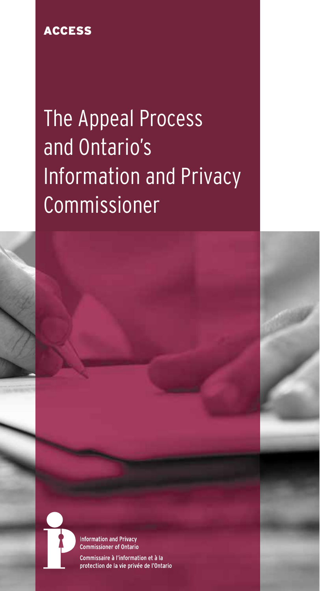## ACCESS

# The Appeal Process and Ontario's Information and Privacy Commissioner



**Information and Privacy Commissioner of Ontario** 

Commissaire à l'information et à la protection de la vie privée de l'Ontario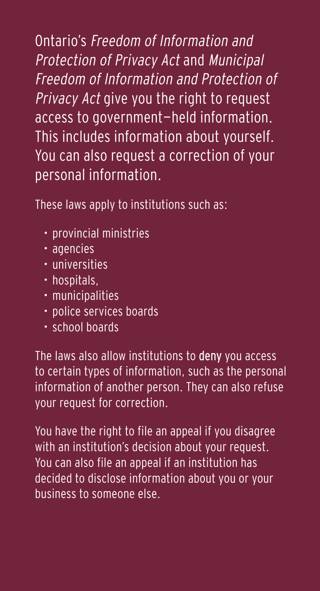Ontario's Freedom of Information and Protection of Privacy Act and Municipal Freedom of Information and Protection of Privacy Act give you the right to request access to government-held information. This includes information about yourself. You can also request a correction of your personal information.

These laws apply to institutions such as:

- provincial ministries
- agencies
- universities
- hospitals,
- municipalities
- police services boards
- school boards

The laws also allow institutions to deny you access to certain types of information, such as the personal information of another person. They can also refuse your request for correction.

You have the right to file an appeal if you disagree with an institution's decision about your request. You can also file an appeal if an institution has decided to disclose information about you or your business to someone else.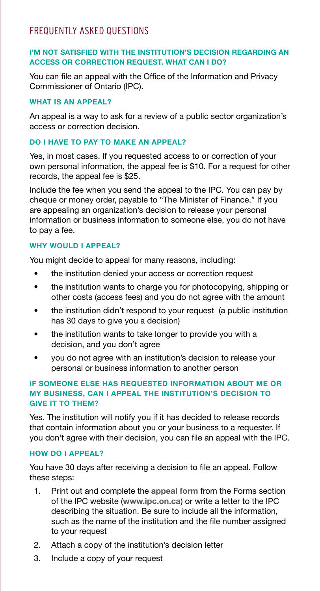### FREQUENTLY ASKED QUESTIONS

#### **I'M NOT SATISFIED WITH THE INSTITUTION'S DECISION REGARDING AN ACCESS OR CORRECTION REQUEST. WHAT CAN I DO?**

You can file an appeal with the Office of the Information and Privacy Commissioner of Ontario (IPC).

#### **WHAT IS AN APPEAL?**

An appeal is a way to ask for a review of a public sector organization's access or correction decision.

#### **DO I HAVE TO PAY TO MAKE AN APPEAL?**

Yes, in most cases. If you requested access to or correction of your own personal information, the appeal fee is \$10. For a request for other records, the appeal fee is \$25.

Include the fee when you send the appeal to the IPC. You can pay by cheque or money order, payable to "The Minister of Finance." If you are appealing an organization's decision to release your personal information or business information to someone else, you do not have to pay a fee.

#### **WHY WOULD I APPEAL?**

You might decide to appeal for many reasons, including:

- the institution denied your access or correction request
- the institution wants to charge you for photocopying, shipping or other costs (access fees) and you do not agree with the amount
- the institution didn't respond to your request (a public institution has 30 days to give you a decision)
- the institution wants to take longer to provide you with a decision, and you don't agree
- you do not agree with an institution's decision to release your personal or business information to another person

#### **IF SOMEONE ELSE HAS REQUESTED INFORMATION ABOUT ME OR MY BUSINESS, CAN I APPEAL THE INSTITUTION'S DECISION TO GIVE IT TO THEM?**

Yes. The institution will notify you if it has decided to release records that contain information about you or your business to a requester. If you don't agree with their decision, you can file an appeal with the IPC.

#### **HOW DO I APPEAL?**

You have 30 days after receiving a decision to file an appeal. Follow these steps:

- 1. Print out and complete the **[appeal form](https://www.ipc.on.ca/wp-content/uploads/Resources/appfrm-e-online.pdf)** from the Forms section of the IPC website (**[www.ipc.on.ca](http://www.ipc.on.ca)**) or write a letter to the IPC describing the situation. Be sure to include all the information, such as the name of the institution and the file number assigned to your request
- 2. Attach a copy of the institution's decision letter
- 3. Include a copy of your request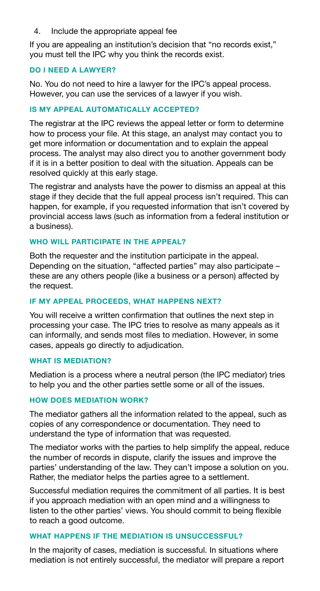#### 4. Include the appropriate appeal fee

If you are appealing an institution's decision that "no records exist," you must tell the IPC why you think the records exist.

#### **DO I NEED A LAWYER?**

No. You do not need to hire a lawyer for the IPC's appeal process. However, you can use the services of a lawyer if you wish.

#### **IS MY APPEAL AUTOMATICALLY ACCEPTED?**

The registrar at the IPC reviews the appeal letter or form to determine how to process your file. At this stage, an analyst may contact you to get more information or documentation and to explain the appeal process. The analyst may also direct you to another government body if it is in a better position to deal with the situation. Appeals can be resolved quickly at this early stage.

The registrar and analysts have the power to dismiss an appeal at this stage if they decide that the full appeal process isn't required. This can happen, for example, if you requested information that isn't covered by provincial access laws (such as information from a federal institution or a business).

#### **WHO WILL PARTICIPATE IN THE APPEAL?**

Both the requester and the institution participate in the appeal. Depending on the situation, "affected parties" may also participate – these are any others people (like a business or a person) affected by the request.

#### **IF MY APPEAL PROCEEDS, WHAT HAPPENS NEXT?**

You will receive a written confirmation that outlines the next step in processing your case. The IPC tries to resolve as many appeals as it can informally, and sends most files to mediation. However, in some cases, appeals go directly to adjudication.

#### **WHAT IS MEDIATION?**

Mediation is a process where a neutral person (the IPC mediator) tries to help you and the other parties settle some or all of the issues.

#### **HOW DOES MEDIATION WORK?**

The mediator gathers all the information related to the appeal, such as copies of any correspondence or documentation. They need to understand the type of information that was requested.

The mediator works with the parties to help simplify the appeal, reduce the number of records in dispute, clarify the issues and improve the parties' understanding of the law. They can't impose a solution on you. Rather, the mediator helps the parties agree to a settlement.

Successful mediation requires the commitment of all parties. It is best if you approach mediation with an open mind and a willingness to listen to the other parties' views. You should commit to being flexible to reach a good outcome.

#### **WHAT HAPPENS IF THE MEDIATION IS UNSUCCESSFUL?**

In the majority of cases, mediation is successful. In situations where mediation is not entirely successful, the mediator will prepare a report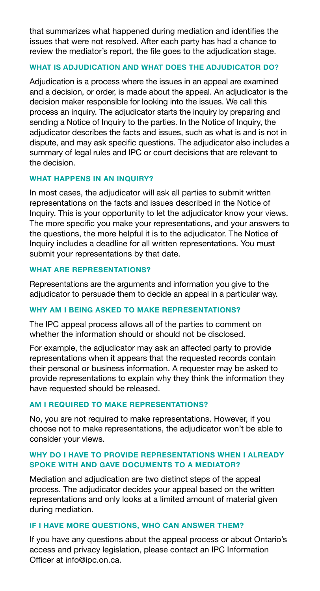that summarizes what happened during mediation and identifies the issues that were not resolved. After each party has had a chance to review the mediator's report, the file goes to the adjudication stage.

#### **WHAT IS ADJUDICATION AND WHAT DOES THE ADJUDICATOR DO?**

Adjudication is a process where the issues in an appeal are examined and a decision, or order, is made about the appeal. An adjudicator is the decision maker responsible for looking into the issues. We call this process an inquiry. The adjudicator starts the inquiry by preparing and sending a Notice of Inquiry to the parties. In the Notice of Inquiry, the adjudicator describes the facts and issues, such as what is and is not in dispute, and may ask specific questions. The adjudicator also includes a summary of legal rules and IPC or court decisions that are relevant to the decision.

#### **WHAT HAPPENS IN AN INQUIRY?**

In most cases, the adjudicator will ask all parties to submit written representations on the facts and issues described in the Notice of Inquiry. This is your opportunity to let the adjudicator know your views. The more specific you make your representations, and your answers to the questions, the more helpful it is to the adjudicator. The Notice of Inquiry includes a deadline for all written representations. You must submit your representations by that date.

#### **WHAT ARE REPRESENTATIONS?**

Representations are the arguments and information you give to the adjudicator to persuade them to decide an appeal in a particular way.

#### **WHY AM I BEING ASKED TO MAKE REPRESENTATIONS?**

The IPC appeal process allows all of the parties to comment on whether the information should or should not be disclosed.

For example, the adjudicator may ask an affected party to provide representations when it appears that the requested records contain their personal or business information. A requester may be asked to provide representations to explain why they think the information they have requested should be released.

#### **AM I REQUIRED TO MAKE REPRESENTATIONS?**

No, you are not required to make representations. However, if you choose not to make representations, the adjudicator won't be able to consider your views.

#### **WHY DO I HAVE TO PROVIDE REPRESENTATIONS WHEN I ALREADY SPOKE WITH AND GAVE DOCUMENTS TO A MEDIATOR?**

Mediation and adjudication are two distinct steps of the appeal process. The adjudicator decides your appeal based on the written representations and only looks at a limited amount of material given during mediation.

#### **IF I HAVE MORE QUESTIONS, WHO CAN ANSWER THEM?**

If you have any questions about the appeal process or about Ontario's access and privacy legislation, please contact an IPC Information Officer at info@ipc.on.ca.